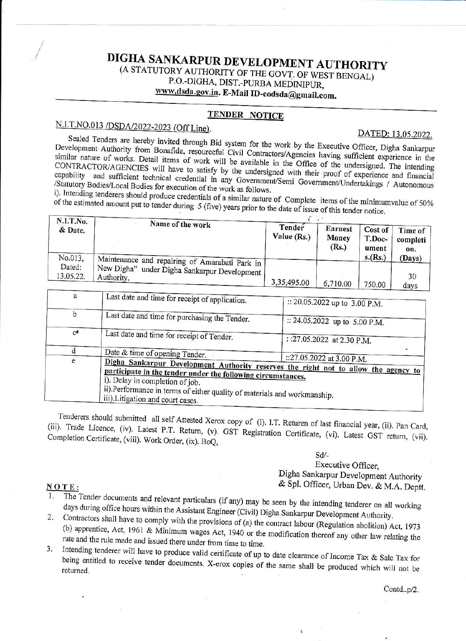# DIGHA SANKARPUR DEVELOPMENT AUTHORITY

(A STATUTORY AUTHORITY OF THE GOVT. OF WEST BENGAL) P.O.-DIGHA, DIST.-PURBA MEDINIPUR,

www.dsda.gov.in. E-Mail ID-eodsda@gmail.com.

#### TENDER NOTICE

## N.I.T.NO.013 /DSDA/2022-2023 (Off Line).

DATED: 13.05.2022.

Sealed Tenders are hereby invited through Bid system for the work by the Executive Officer, Digha Sankarpur Development Authority from Bonafide, resourceful Civil Contractors/Agencies having sufficient experience in the similar nature of works. Detail items of work will be available in the Office of the undersigned. The intending CONTRACTOR/AGENCIES will have to satisfy by the undersigned with their proof of experience and financial capability and sufficient technical credential in any Government/Semi Government/Undertakings / Autonomous /Statutory Bodies/Local Bodies for execution of the work as follows.

i). Intending tenderers should produce credentials of a similar nature of Complete items of the minimumvalue of 50% of the estimated amount put to tender during 5 (five) years prior to the date of issue of this tender notice.

| N.I.T.No.<br>& Date. | Name of the work                                           | Tender<br>Value (Rs.) | <b>Earnest</b><br>Money<br>(Rs.) | Cost of<br>T.Doc-<br>ument | Time of<br>completi<br>on. |
|----------------------|------------------------------------------------------------|-----------------------|----------------------------------|----------------------------|----------------------------|
| No.013.<br>Dated:    | Maintenance and repairing of Amarabati Park in             |                       |                                  | s.(Rs.)                    | (Days)                     |
| 13.05.22.            | New Digha" under Digha Sankarpur Development<br>Authority. | 3,35,495.00           | 6,710.00                         | 750.00                     | 30<br>days                 |

| a     | Last date and time for receipt of application.                                                                                                                                                                                                                                                          | :: 20.05.2022 up to 3.00 P.M.<br>:: 24.05.2022 up to 5.00 P.M. |  |
|-------|---------------------------------------------------------------------------------------------------------------------------------------------------------------------------------------------------------------------------------------------------------------------------------------------------------|----------------------------------------------------------------|--|
| b     | Last date and time for purchasing the Tender.                                                                                                                                                                                                                                                           |                                                                |  |
| $C^*$ | Last date and time for receipt of Tender.                                                                                                                                                                                                                                                               | : :27.05.2022 at 2.30 P.M.                                     |  |
|       | Date & time of opening Tender.                                                                                                                                                                                                                                                                          |                                                                |  |
| e     | Digha Sankarpur Development Authority reserves the right not to allow the agency to<br>participate in the tender under the following circumstances.<br>i). Delay in completion of job.<br>ii).Performance in terms of either quality of materials and workmanship.<br>iii). Litigation and court cases. | ::27.05.2022 at 3.00 P.M.                                      |  |

Tenderers should submitted all self Attested Xerox copy of (i). I.T. Returen of last financial year, (ii). Pan Card, (iii). Trade Licence, (iv). Latest P.T. Return, (v). GST Registration Certificate, (vi). Latest GST return, (vii). Completion Certificate, (viii). Work Order, (ix). BoQ,

#### Sd/-

Executive Officer. Digha Sankarpur Development Authority & Spl. Officer, Urban Dev. & M.A. Deptt.

#### $NOTE:$

The Tender documents and relevant particulars (if any) may be seen by the intending tenderer on all working days during office hours within the Assistant Engineer (Civil) Digha Sankarpur Development Authority.

2. Contractors shall have to comply with the provisions of (a) the contract labour (Regulation abolition) Act, 1973 (b) apprentice, Act, 1961 & Minimum wages Act, 1940 or the modification thereof any other law relating the rate and the rule made and issued there under from time to time.

Intending tenderer will have to produce valid certificate of up to date clearance of Income Tax & Sale Tax for  $3.$ being entitled to receive tender documents. X-erox copies of the same shall be produced which will not be

Contd..p/2.